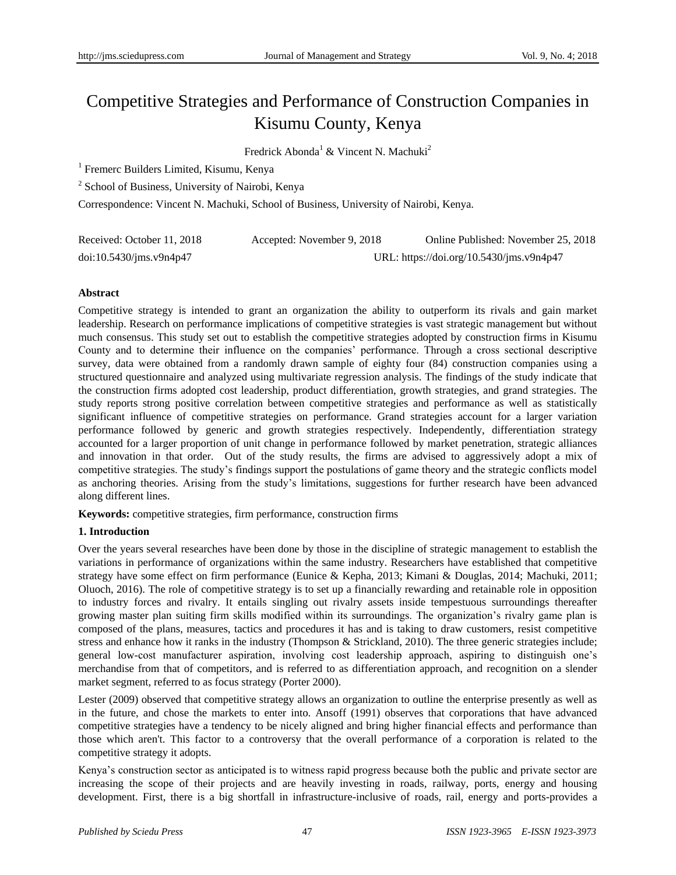# Competitive Strategies and Performance of Construction Companies in Kisumu County, Kenya

Fredrick Abonda<sup>1</sup> & Vincent N. Machuki<sup>2</sup>

1 Fremerc Builders Limited, Kisumu, Kenya

<sup>2</sup> School of Business, University of Nairobi, Kenya

Correspondence: Vincent N. Machuki, School of Business, University of Nairobi, Kenya.

| Received: October 11, 2018 | Accepted: November 9, 2018 | Online Published: November 25, 2018      |
|----------------------------|----------------------------|------------------------------------------|
| doi:10.5430/ims.v9n4p47    |                            | URL: https://doi.org/10.5430/jms.v9n4p47 |

## **Abstract**

Competitive strategy is intended to grant an organization the ability to outperform its rivals and gain market leadership. Research on performance implications of competitive strategies is vast strategic management but without much consensus. This study set out to establish the competitive strategies adopted by construction firms in Kisumu County and to determine their influence on the companies' performance. Through a cross sectional descriptive survey, data were obtained from a randomly drawn sample of eighty four (84) construction companies using a structured questionnaire and analyzed using multivariate regression analysis. The findings of the study indicate that the construction firms adopted cost leadership, product differentiation, growth strategies, and grand strategies. The study reports strong positive correlation between competitive strategies and performance as well as statistically significant influence of competitive strategies on performance. Grand strategies account for a larger variation performance followed by generic and growth strategies respectively. Independently, differentiation strategy accounted for a larger proportion of unit change in performance followed by market penetration, strategic alliances and innovation in that order. Out of the study results, the firms are advised to aggressively adopt a mix of competitive strategies. The study's findings support the postulations of game theory and the strategic conflicts model as anchoring theories. Arising from the study's limitations, suggestions for further research have been advanced along different lines.

**Keywords:** competitive strategies, firm performance, construction firms

## **1. Introduction**

Over the years several researches have been done by those in the discipline of strategic management to establish the variations in performance of organizations within the same industry. Researchers have established that competitive strategy have some effect on firm performance (Eunice & Kepha, 2013; Kimani & Douglas, 2014; Machuki, 2011; Oluoch, 2016). The role of competitive strategy is to set up a financially rewarding and retainable role in opposition to industry forces and rivalry. It entails singling out rivalry assets inside tempestuous surroundings thereafter growing master plan suiting firm skills modified within its surroundings. The organization's rivalry game plan is composed of the plans, measures, tactics and procedures it has and is taking to draw customers, resist competitive stress and enhance how it ranks in the industry (Thompson & Strickland, 2010). The three generic strategies include; general low-cost manufacturer aspiration, involving cost leadership approach, aspiring to distinguish one's merchandise from that of competitors, and is referred to as differentiation approach, and recognition on a slender market segment, referred to as focus strategy (Porter 2000).

Lester (2009) observed that competitive strategy allows an organization to outline the enterprise presently as well as in the future, and chose the markets to enter into. Ansoff (1991) observes that corporations that have advanced competitive strategies have a tendency to be nicely aligned and bring higher financial effects and performance than those which aren't. This factor to a controversy that the overall performance of a corporation is related to the competitive strategy it adopts.

Kenya's construction sector as anticipated is to witness rapid progress because both the public and private sector are increasing the scope of their projects and are heavily investing in roads, railway, ports, energy and housing development. First, there is a big shortfall in infrastructure-inclusive of roads, rail, energy and ports-provides a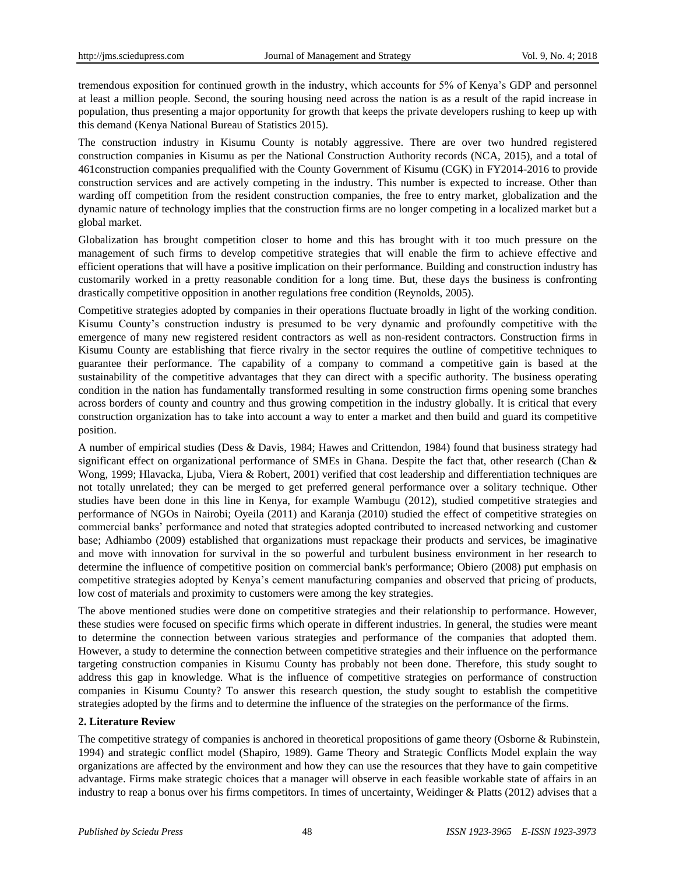tremendous exposition for continued growth in the industry, which accounts for 5% of Kenya's GDP and personnel at least a million people. Second, the souring housing need across the nation is as a result of the rapid increase in population, thus presenting a major opportunity for growth that keeps the private developers rushing to keep up with this demand (Kenya National Bureau of Statistics 2015).

The construction industry in Kisumu County is notably aggressive. There are over two hundred registered construction companies in Kisumu as per the National Construction Authority records (NCA, 2015), and a total of 461construction companies prequalified with the County Government of Kisumu (CGK) in FY2014-2016 to provide construction services and are actively competing in the industry. This number is expected to increase. Other than warding off competition from the resident construction companies, the free to entry market, globalization and the dynamic nature of technology implies that the construction firms are no longer competing in a localized market but a global market.

Globalization has brought competition closer to home and this has brought with it too much pressure on the management of such firms to develop competitive strategies that will enable the firm to achieve effective and efficient operations that will have a positive implication on their performance. Building and construction industry has customarily worked in a pretty reasonable condition for a long time. But, these days the business is confronting drastically competitive opposition in another regulations free condition (Reynolds, 2005).

Competitive strategies adopted by companies in their operations fluctuate broadly in light of the working condition. Kisumu County's construction industry is presumed to be very dynamic and profoundly competitive with the emergence of many new registered resident contractors as well as non-resident contractors. Construction firms in Kisumu County are establishing that fierce rivalry in the sector requires the outline of competitive techniques to guarantee their performance. The capability of a company to command a competitive gain is based at the sustainability of the competitive advantages that they can direct with a specific authority. The business operating condition in the nation has fundamentally transformed resulting in some construction firms opening some branches across borders of county and country and thus growing competition in the industry globally. It is critical that every construction organization has to take into account a way to enter a market and then build and guard its competitive position.

A number of empirical studies (Dess & Davis, 1984; Hawes and Crittendon, 1984) found that business strategy had significant effect on organizational performance of SMEs in Ghana. Despite the fact that, other research (Chan & Wong, 1999; Hlavacka, Ljuba, Viera & Robert, 2001) verified that cost leadership and differentiation techniques are not totally unrelated; they can be merged to get preferred general performance over a solitary technique. Other studies have been done in this line in Kenya, for example Wambugu (2012), studied competitive strategies and performance of NGOs in Nairobi; Oyeila (2011) and Karanja (2010) studied the effect of competitive strategies on commercial banks' performance and noted that strategies adopted contributed to increased networking and customer base; Adhiambo (2009) established that organizations must repackage their products and services, be imaginative and move with innovation for survival in the so powerful and turbulent business environment in her research to determine the influence of competitive position on commercial bank's performance; Obiero (2008) put emphasis on competitive strategies adopted by Kenya's cement manufacturing companies and observed that pricing of products, low cost of materials and proximity to customers were among the key strategies.

The above mentioned studies were done on competitive strategies and their relationship to performance. However, these studies were focused on specific firms which operate in different industries. In general, the studies were meant to determine the connection between various strategies and performance of the companies that adopted them. However, a study to determine the connection between competitive strategies and their influence on the performance targeting construction companies in Kisumu County has probably not been done. Therefore, this study sought to address this gap in knowledge. What is the influence of competitive strategies on performance of construction companies in Kisumu County? To answer this research question, the study sought to establish the competitive strategies adopted by the firms and to determine the influence of the strategies on the performance of the firms.

## **2. Literature Review**

The competitive strategy of companies is anchored in theoretical propositions of game theory (Osborne & Rubinstein, 1994) and strategic conflict model (Shapiro, 1989). Game Theory and Strategic Conflicts Model explain the way organizations are affected by the environment and how they can use the resources that they have to gain competitive advantage. Firms make strategic choices that a manager will observe in each feasible workable state of affairs in an industry to reap a bonus over his firms competitors. In times of uncertainty, Weidinger & Platts (2012) advises that a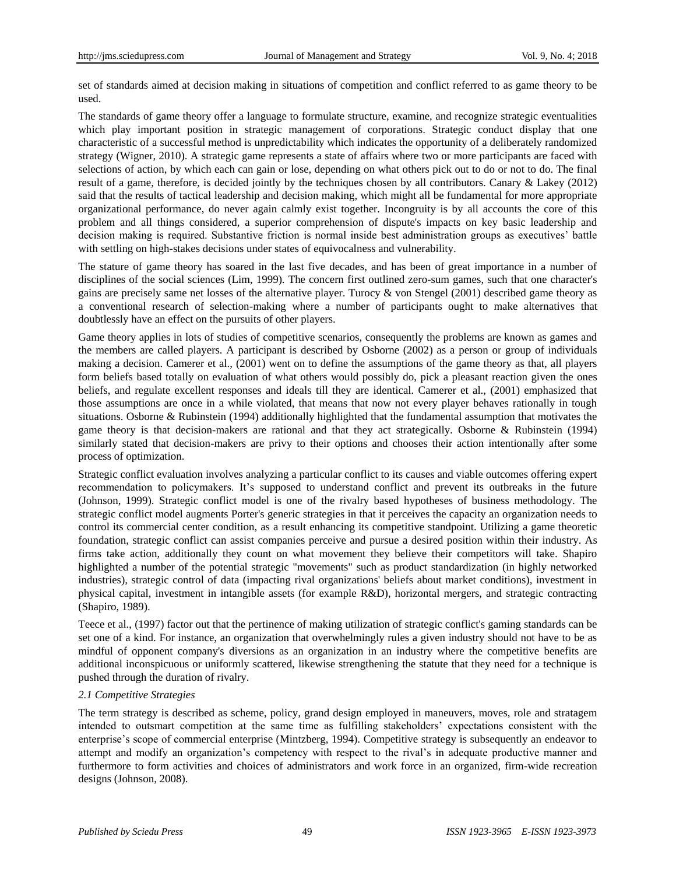set of standards aimed at decision making in situations of competition and conflict referred to as game theory to be used.

The standards of game theory offer a language to formulate structure, examine, and recognize strategic eventualities which play important position in strategic management of corporations. Strategic conduct display that one characteristic of a successful method is unpredictability which indicates the opportunity of a deliberately randomized strategy (Wigner, 2010). A strategic game represents a state of affairs where two or more participants are faced with selections of action, by which each can gain or lose, depending on what others pick out to do or not to do. The final result of a game, therefore, is decided jointly by the techniques chosen by all contributors. Canary & Lakey (2012) said that the results of tactical leadership and decision making, which might all be fundamental for more appropriate organizational performance, do never again calmly exist together. Incongruity is by all accounts the core of this problem and all things considered, a superior comprehension of dispute's impacts on key basic leadership and decision making is required. Substantive friction is normal inside best administration groups as executives' battle with settling on high-stakes decisions under states of equivocalness and vulnerability.

The stature of game theory has soared in the last five decades, and has been of great importance in a number of disciplines of the social sciences (Lim, 1999). The concern first outlined zero-sum games, such that one character's gains are precisely same net losses of the alternative player. Turocy & von Stengel (2001) described game theory as a conventional research of selection-making where a number of participants ought to make alternatives that doubtlessly have an effect on the pursuits of other players.

Game theory applies in lots of studies of competitive scenarios, consequently the problems are known as games and the members are called players. A participant is described by Osborne (2002) as a person or group of individuals making a decision. Camerer et al., (2001) went on to define the assumptions of the game theory as that, all players form beliefs based totally on evaluation of what others would possibly do, pick a pleasant reaction given the ones beliefs, and regulate excellent responses and ideals till they are identical. Camerer et al., (2001) emphasized that those assumptions are once in a while violated, that means that now not every player behaves rationally in tough situations. Osborne & Rubinstein (1994) additionally highlighted that the fundamental assumption that motivates the game theory is that decision-makers are rational and that they act strategically. Osborne & Rubinstein (1994) similarly stated that decision-makers are privy to their options and chooses their action intentionally after some process of optimization.

Strategic conflict evaluation involves analyzing a particular conflict to its causes and viable outcomes offering expert recommendation to policymakers. It's supposed to understand conflict and prevent its outbreaks in the future (Johnson, 1999). Strategic conflict model is one of the rivalry based hypotheses of business methodology. The strategic conflict model augments Porter's generic strategies in that it perceives the capacity an organization needs to control its commercial center condition, as a result enhancing its competitive standpoint. Utilizing a game theoretic foundation, strategic conflict can assist companies perceive and pursue a desired position within their industry. As firms take action, additionally they count on what movement they believe their competitors will take. Shapiro highlighted a number of the potential strategic "movements" such as product standardization (in highly networked industries), strategic control of data (impacting rival organizations' beliefs about market conditions), investment in physical capital, investment in intangible assets (for example R&D), horizontal mergers, and strategic contracting (Shapiro, 1989).

Teece et al., (1997) factor out that the pertinence of making utilization of strategic conflict's gaming standards can be set one of a kind. For instance, an organization that overwhelmingly rules a given industry should not have to be as mindful of opponent company's diversions as an organization in an industry where the competitive benefits are additional inconspicuous or uniformly scattered, likewise strengthening the statute that they need for a technique is pushed through the duration of rivalry.

#### *2.1 Competitive Strategies*

The term strategy is described as scheme, policy, grand design employed in maneuvers, moves, role and stratagem intended to outsmart competition at the same time as fulfilling stakeholders' expectations consistent with the enterprise's scope of commercial enterprise (Mintzberg, 1994). Competitive strategy is subsequently an endeavor to attempt and modify an organization's competency with respect to the rival's in adequate productive manner and furthermore to form activities and choices of administrators and work force in an organized, firm-wide recreation designs (Johnson, 2008).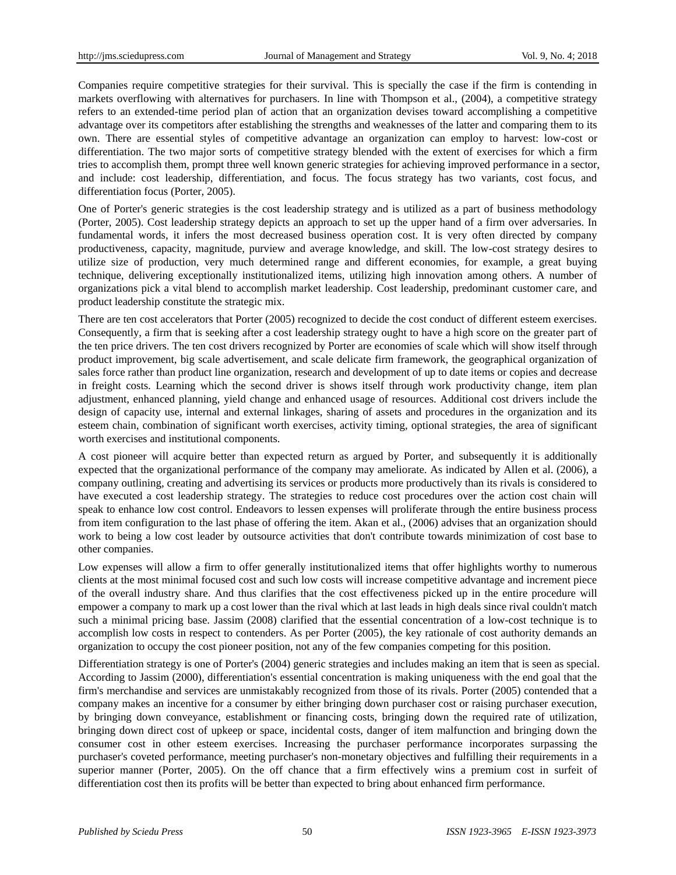Companies require competitive strategies for their survival. This is specially the case if the firm is contending in markets overflowing with alternatives for purchasers. In line with Thompson et al., (2004), a competitive strategy refers to an extended-time period plan of action that an organization devises toward accomplishing a competitive advantage over its competitors after establishing the strengths and weaknesses of the latter and comparing them to its own. There are essential styles of competitive advantage an organization can employ to harvest: low-cost or differentiation. The two major sorts of competitive strategy blended with the extent of exercises for which a firm tries to accomplish them, prompt three well known generic strategies for achieving improved performance in a sector, and include: cost leadership, differentiation, and focus. The focus strategy has two variants, cost focus, and differentiation focus (Porter, 2005).

One of Porter's generic strategies is the cost leadership strategy and is utilized as a part of business methodology (Porter, 2005). Cost leadership strategy depicts an approach to set up the upper hand of a firm over adversaries. In fundamental words, it infers the most decreased business operation cost. It is very often directed by company productiveness, capacity, magnitude, purview and average knowledge, and skill. The low-cost strategy desires to utilize size of production, very much determined range and different economies, for example, a great buying technique, delivering exceptionally institutionalized items, utilizing high innovation among others. A number of organizations pick a vital blend to accomplish market leadership. Cost leadership, predominant customer care, and product leadership constitute the strategic mix.

There are ten cost accelerators that Porter (2005) recognized to decide the cost conduct of different esteem exercises. Consequently, a firm that is seeking after a cost leadership strategy ought to have a high score on the greater part of the ten price drivers. The ten cost drivers recognized by Porter are economies of scale which will show itself through product improvement, big scale advertisement, and scale delicate firm framework, the geographical organization of sales force rather than product line organization, research and development of up to date items or copies and decrease in freight costs. Learning which the second driver is shows itself through work productivity change, item plan adjustment, enhanced planning, yield change and enhanced usage of resources. Additional cost drivers include the design of capacity use, internal and external linkages, sharing of assets and procedures in the organization and its esteem chain, combination of significant worth exercises, activity timing, optional strategies, the area of significant worth exercises and institutional components.

A cost pioneer will acquire better than expected return as argued by Porter, and subsequently it is additionally expected that the organizational performance of the company may ameliorate. As indicated by Allen et al. (2006), a company outlining, creating and advertising its services or products more productively than its rivals is considered to have executed a cost leadership strategy. The strategies to reduce cost procedures over the action cost chain will speak to enhance low cost control. Endeavors to lessen expenses will proliferate through the entire business process from item configuration to the last phase of offering the item. Akan et al., (2006) advises that an organization should work to being a low cost leader by outsource activities that don't contribute towards minimization of cost base to other companies.

Low expenses will allow a firm to offer generally institutionalized items that offer highlights worthy to numerous clients at the most minimal focused cost and such low costs will increase competitive advantage and increment piece of the overall industry share. And thus clarifies that the cost effectiveness picked up in the entire procedure will empower a company to mark up a cost lower than the rival which at last leads in high deals since rival couldn't match such a minimal pricing base. Jassim (2008) clarified that the essential concentration of a low-cost technique is to accomplish low costs in respect to contenders. As per Porter (2005), the key rationale of cost authority demands an organization to occupy the cost pioneer position, not any of the few companies competing for this position.

Differentiation strategy is one of Porter's (2004) generic strategies and includes making an item that is seen as special. According to Jassim (2000), differentiation's essential concentration is making uniqueness with the end goal that the firm's merchandise and services are unmistakably recognized from those of its rivals. Porter (2005) contended that a company makes an incentive for a consumer by either bringing down purchaser cost or raising purchaser execution, by bringing down conveyance, establishment or financing costs, bringing down the required rate of utilization, bringing down direct cost of upkeep or space, incidental costs, danger of item malfunction and bringing down the consumer cost in other esteem exercises. Increasing the purchaser performance incorporates surpassing the purchaser's coveted performance, meeting purchaser's non-monetary objectives and fulfilling their requirements in a superior manner (Porter, 2005). On the off chance that a firm effectively wins a premium cost in surfeit of differentiation cost then its profits will be better than expected to bring about enhanced firm performance.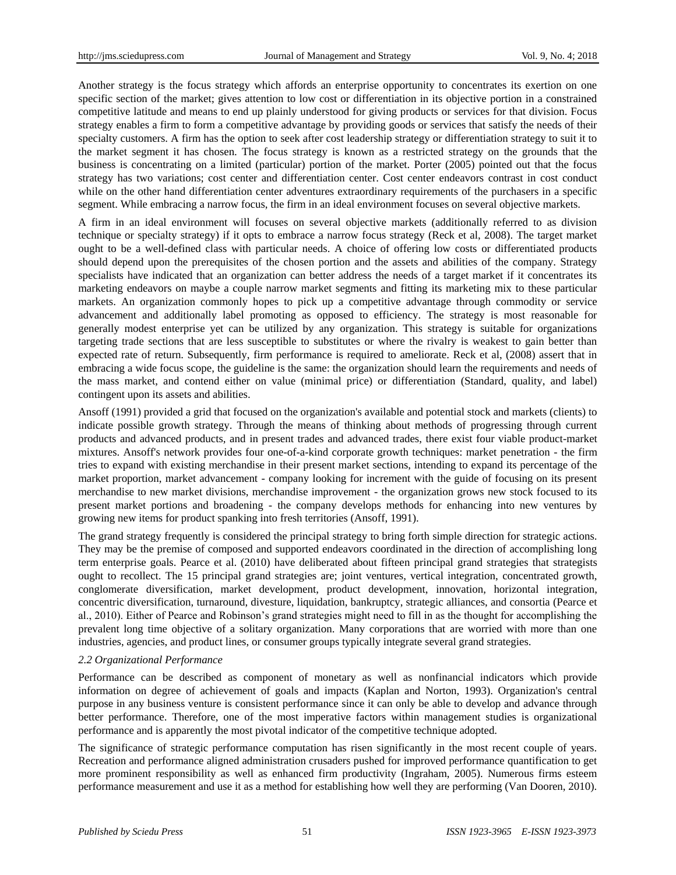Another strategy is the focus strategy which affords an enterprise opportunity to concentrates its exertion on one specific section of the market; gives attention to low cost or differentiation in its objective portion in a constrained competitive latitude and means to end up plainly understood for giving products or services for that division. Focus strategy enables a firm to form a competitive advantage by providing goods or services that satisfy the needs of their specialty customers. A firm has the option to seek after cost leadership strategy or differentiation strategy to suit it to the market segment it has chosen. The focus strategy is known as a restricted strategy on the grounds that the business is concentrating on a limited (particular) portion of the market. Porter (2005) pointed out that the focus strategy has two variations; cost center and differentiation center. Cost center endeavors contrast in cost conduct while on the other hand differentiation center adventures extraordinary requirements of the purchasers in a specific segment. While embracing a narrow focus, the firm in an ideal environment focuses on several objective markets.

A firm in an ideal environment will focuses on several objective markets (additionally referred to as division technique or specialty strategy) if it opts to embrace a narrow focus strategy (Reck et al, 2008). The target market ought to be a well-defined class with particular needs. A choice of offering low costs or differentiated products should depend upon the prerequisites of the chosen portion and the assets and abilities of the company. Strategy specialists have indicated that an organization can better address the needs of a target market if it concentrates its marketing endeavors on maybe a couple narrow market segments and fitting its marketing mix to these particular markets. An organization commonly hopes to pick up a competitive advantage through commodity or service advancement and additionally label promoting as opposed to efficiency. The strategy is most reasonable for generally modest enterprise yet can be utilized by any organization. This strategy is suitable for organizations targeting trade sections that are less susceptible to substitutes or where the rivalry is weakest to gain better than expected rate of return. Subsequently, firm performance is required to ameliorate. Reck et al, (2008) assert that in embracing a wide focus scope, the guideline is the same: the organization should learn the requirements and needs of the mass market, and contend either on value (minimal price) or differentiation (Standard, quality, and label) contingent upon its assets and abilities.

Ansoff (1991) provided a grid that focused on the organization's available and potential stock and markets (clients) to indicate possible growth strategy. Through the means of thinking about methods of progressing through current products and advanced products, and in present trades and advanced trades, there exist four viable product-market mixtures. Ansoff's network provides four one-of-a-kind corporate growth techniques: market penetration - the firm tries to expand with existing merchandise in their present market sections, intending to expand its percentage of the market proportion, market advancement - company looking for increment with the guide of focusing on its present merchandise to new market divisions, merchandise improvement - the organization grows new stock focused to its present market portions and broadening - the company develops methods for enhancing into new ventures by growing new items for product spanking into fresh territories (Ansoff, 1991).

The grand strategy frequently is considered the principal strategy to bring forth simple direction for strategic actions. They may be the premise of composed and supported endeavors coordinated in the direction of accomplishing long term enterprise goals. Pearce et al. (2010) have deliberated about fifteen principal grand strategies that strategists ought to recollect. The 15 principal grand strategies are; joint ventures, vertical integration, concentrated growth, conglomerate diversification, market development, product development, innovation, horizontal integration, concentric diversification, turnaround, divesture, liquidation, bankruptcy, strategic alliances, and consortia (Pearce et al., 2010). Either of Pearce and Robinson's grand strategies might need to fill in as the thought for accomplishing the prevalent long time objective of a solitary organization. Many corporations that are worried with more than one industries, agencies, and product lines, or consumer groups typically integrate several grand strategies.

## *2.2 Organizational Performance*

Performance can be described as component of monetary as well as nonfinancial indicators which provide information on degree of achievement of goals and impacts (Kaplan and Norton, 1993). Organization's central purpose in any business venture is consistent performance since it can only be able to develop and advance through better performance. Therefore, one of the most imperative factors within management studies is organizational performance and is apparently the most pivotal indicator of the competitive technique adopted.

The significance of strategic performance computation has risen significantly in the most recent couple of years. Recreation and performance aligned administration crusaders pushed for improved performance quantification to get more prominent responsibility as well as enhanced firm productivity (Ingraham, 2005). Numerous firms esteem performance measurement and use it as a method for establishing how well they are performing (Van Dooren, 2010).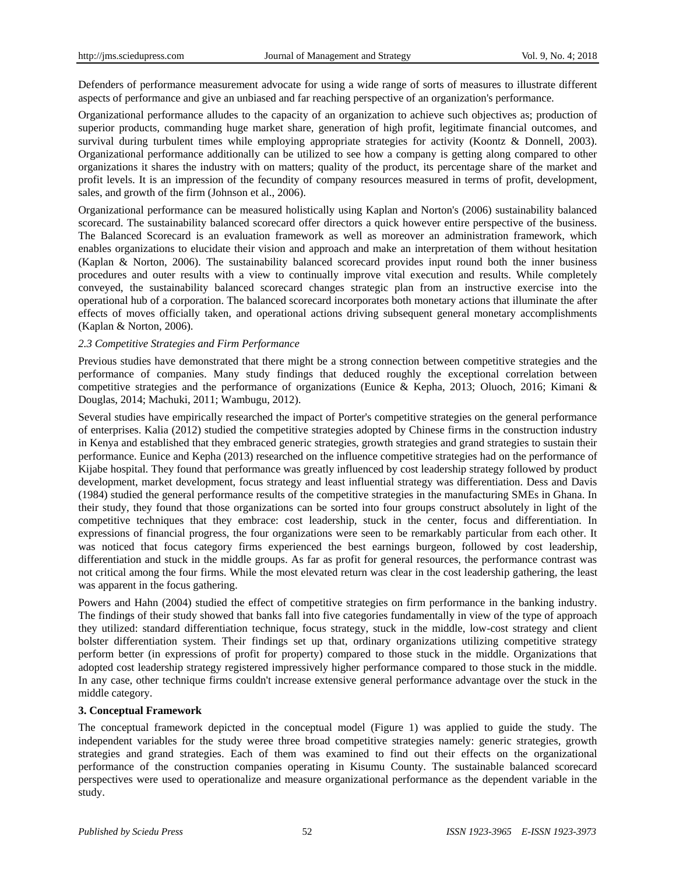Defenders of performance measurement advocate for using a wide range of sorts of measures to illustrate different aspects of performance and give an unbiased and far reaching perspective of an organization's performance.

Organizational performance alludes to the capacity of an organization to achieve such objectives as; production of superior products, commanding huge market share, generation of high profit, legitimate financial outcomes, and survival during turbulent times while employing appropriate strategies for activity (Koontz & Donnell, 2003). Organizational performance additionally can be utilized to see how a company is getting along compared to other organizations it shares the industry with on matters; quality of the product, its percentage share of the market and profit levels. It is an impression of the fecundity of company resources measured in terms of profit, development, sales, and growth of the firm (Johnson et al., 2006).

Organizational performance can be measured holistically using Kaplan and Norton's (2006) sustainability balanced scorecard. The sustainability balanced scorecard offer directors a quick however entire perspective of the business. The Balanced Scorecard is an evaluation framework as well as moreover an administration framework, which enables organizations to elucidate their vision and approach and make an interpretation of them without hesitation (Kaplan & Norton, 2006). The sustainability balanced scorecard provides input round both the inner business procedures and outer results with a view to continually improve vital execution and results. While completely conveyed, the sustainability balanced scorecard changes strategic plan from an instructive exercise into the operational hub of a corporation. The balanced scorecard incorporates both monetary actions that illuminate the after effects of moves officially taken, and operational actions driving subsequent general monetary accomplishments (Kaplan & Norton, 2006).

#### *2.3 Competitive Strategies and Firm Performance*

Previous studies have demonstrated that there might be a strong connection between competitive strategies and the performance of companies. Many study findings that deduced roughly the exceptional correlation between competitive strategies and the performance of organizations (Eunice & Kepha, 2013; Oluoch, 2016; Kimani & Douglas, 2014; Machuki, 2011; Wambugu, 2012).

Several studies have empirically researched the impact of Porter's competitive strategies on the general performance of enterprises. Kalia (2012) studied the competitive strategies adopted by Chinese firms in the construction industry in Kenya and established that they embraced generic strategies, growth strategies and grand strategies to sustain their performance. Eunice and Kepha (2013) researched on the influence competitive strategies had on the performance of Kijabe hospital. They found that performance was greatly influenced by cost leadership strategy followed by product development, market development, focus strategy and least influential strategy was differentiation. Dess and Davis (1984) studied the general performance results of the competitive strategies in the manufacturing SMEs in Ghana. In their study, they found that those organizations can be sorted into four groups construct absolutely in light of the competitive techniques that they embrace: cost leadership, stuck in the center, focus and differentiation. In expressions of financial progress, the four organizations were seen to be remarkably particular from each other. It was noticed that focus category firms experienced the best earnings burgeon, followed by cost leadership, differentiation and stuck in the middle groups. As far as profit for general resources, the performance contrast was not critical among the four firms. While the most elevated return was clear in the cost leadership gathering, the least was apparent in the focus gathering.

Powers and Hahn (2004) studied the effect of competitive strategies on firm performance in the banking industry. The findings of their study showed that banks fall into five categories fundamentally in view of the type of approach they utilized: standard differentiation technique, focus strategy, stuck in the middle, low-cost strategy and client bolster differentiation system. Their findings set up that, ordinary organizations utilizing competitive strategy perform better (in expressions of profit for property) compared to those stuck in the middle. Organizations that adopted cost leadership strategy registered impressively higher performance compared to those stuck in the middle. In any case, other technique firms couldn't increase extensive general performance advantage over the stuck in the middle category.

#### **3. Conceptual Framework**

The conceptual framework depicted in the conceptual model (Figure 1) was applied to guide the study. The independent variables for the study weree three broad competitive strategies namely: generic strategies, growth strategies and grand strategies. Each of them was examined to find out their effects on the organizational performance of the construction companies operating in Kisumu County. The sustainable balanced scorecard perspectives were used to operationalize and measure organizational performance as the dependent variable in the study.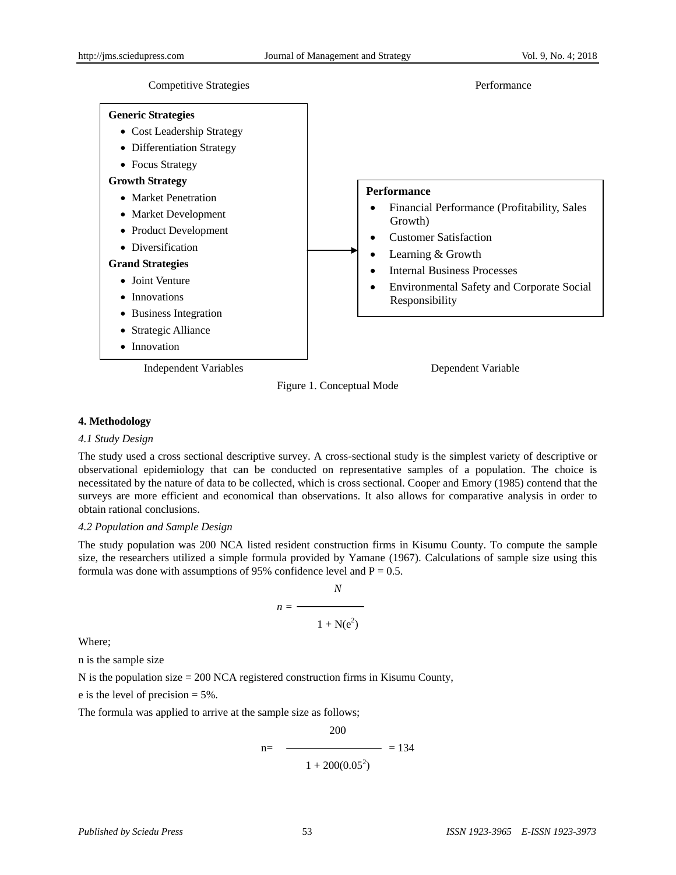

Figure 1. Conceptual Mode

#### **4. Methodology**

#### *4.1 Study Design*

The study used a cross sectional descriptive survey. A cross-sectional study is the simplest variety of descriptive or observational epidemiology that can be conducted on representative samples of a population. The choice is necessitated by the nature of data to be collected, which is cross sectional. Cooper and Emory (1985) contend that the surveys are more efficient and economical than observations. It also allows for comparative analysis in order to obtain rational conclusions.

#### *4.2 Population and Sample Design*

The study population was 200 NCA listed resident construction firms in Kisumu County. To compute the sample size, the researchers utilized a simple formula provided by Yamane (1967). Calculations of sample size using this formula was done with assumptions of 95% confidence level and  $P = 0.5$ .

$$
n = \frac{N}{1 + N(e^2)}
$$

Where;

n is the sample size

N is the population size = 200 NCA registered construction firms in Kisumu County,

e is the level of precision = 5%.

The formula was applied to arrive at the sample size as follows;

$$
n = \frac{200}{1 + 200(0.05^2)} = 134
$$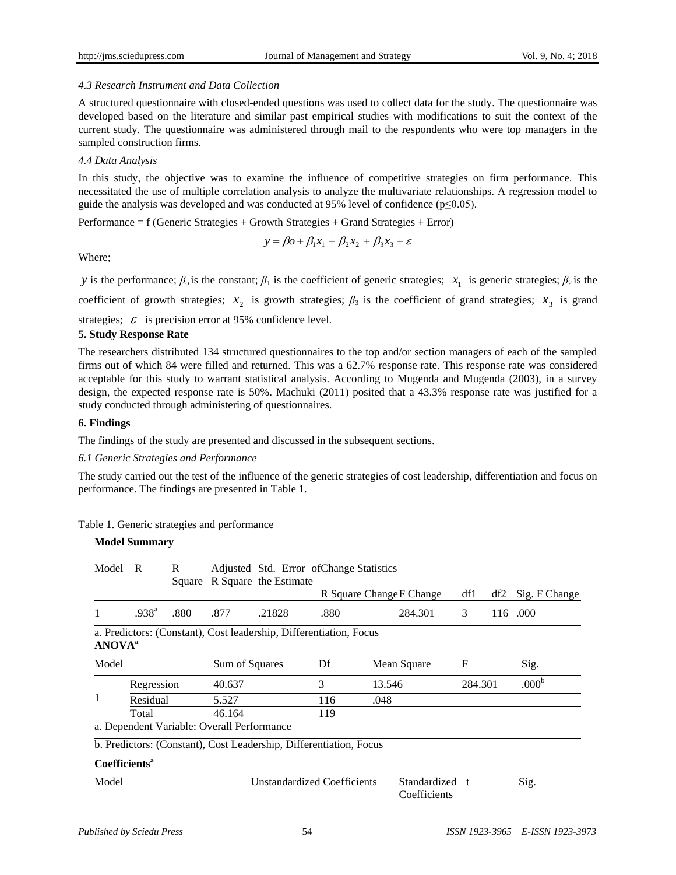## *4.3 Research Instrument and Data Collection*

A structured questionnaire with closed-ended questions was used to collect data for the study. The questionnaire was developed based on the literature and similar past empirical studies with modifications to suit the context of the current study. The questionnaire was administered through mail to the respondents who were top managers in the sampled construction firms.

## *4.4 Data Analysis*

In this study, the objective was to examine the influence of competitive strategies on firm performance. This necessitated the use of multiple correlation analysis to analyze the multivariate relationships. A regression model to guide the analysis was developed and was conducted at 95% level of confidence ( $p \le 0.05$ ).

Performance = f (Generic Strategies + Growth Strategies + Grand Strategies + Error)

$$
y = \beta o + \beta_1 x_1 + \beta_2 x_2 + \beta_3 x_3 + \varepsilon
$$

Where;

*y* is the performance;  $\beta_0$  is the constant;  $\beta_1$  is the coefficient of generic strategies;  $x_1$  is generic strategies;  $\beta_2$  is the

coefficient of growth strategies;  $x_2$  is growth strategies;  $\beta_3$  is the coefficient of grand strategies;  $x_3$  is grand

strategies;  $\epsilon$  is precision error at 95% confidence level.

## **5. Study Response Rate**

The researchers distributed 134 structured questionnaires to the top and/or section managers of each of the sampled firms out of which 84 were filled and returned. This was a 62.7% response rate. This response rate was considered acceptable for this study to warrant statistical analysis. According to Mugenda and Mugenda (2003), in a survey design, the expected response rate is 50%. Machuki (2011) posited that a 43.3% response rate was justified for a study conducted through administering of questionnaires.

#### **6. Findings**

The findings of the study are presented and discussed in the subsequent sections.

## *6.1 Generic Strategies and Performance*

The study carried out the test of the influence of the generic strategies of cost leadership, differentiation and focus on performance. The findings are presented in Table 1.

|                                 | <b>Model Summary</b> |             |                                            |                                                                    |                                          |                              |              |     |                   |  |  |
|---------------------------------|----------------------|-------------|--------------------------------------------|--------------------------------------------------------------------|------------------------------------------|------------------------------|--------------|-----|-------------------|--|--|
| Model                           | R                    | R<br>Square |                                            | R Square the Estimate                                              | Adjusted Std. Error of Change Statistics |                              |              |     |                   |  |  |
|                                 |                      |             |                                            |                                                                    |                                          | R Square Change F Change     | df1          | df2 | Sig. F Change     |  |  |
| 1                               | .938 <sup>a</sup>    | .880        | .877                                       | .21828                                                             | .880                                     | 284.301                      | 3            | 116 | .000              |  |  |
|                                 |                      |             |                                            | a. Predictors: (Constant), Cost leadership, Differentiation, Focus |                                          |                              |              |     |                   |  |  |
| <b>ANOVA</b> <sup>a</sup>       |                      |             |                                            |                                                                    |                                          |                              |              |     |                   |  |  |
| Model                           |                      |             | Sum of Squares                             |                                                                    | Df                                       | Mean Square                  | $_{\rm F}$   |     | Sig.              |  |  |
|                                 | Regression           |             | 40.637                                     |                                                                    | 3                                        | 13.546                       | 284.301      |     | .000 <sup>b</sup> |  |  |
| 1                               | Residual             |             | 5.527                                      |                                                                    | 116                                      | .048                         |              |     |                   |  |  |
|                                 | Total                |             | 46.164                                     |                                                                    | 119                                      |                              |              |     |                   |  |  |
|                                 |                      |             | a. Dependent Variable: Overall Performance |                                                                    |                                          |                              |              |     |                   |  |  |
|                                 |                      |             |                                            | b. Predictors: (Constant), Cost Leadership, Differentiation, Focus |                                          |                              |              |     |                   |  |  |
| <b>Coefficients<sup>a</sup></b> |                      |             |                                            |                                                                    |                                          |                              |              |     |                   |  |  |
| Model                           |                      |             |                                            | <b>Unstandardized Coefficients</b>                                 |                                          | Standardized<br>Coefficients | $\mathbf{f}$ |     | Sig.              |  |  |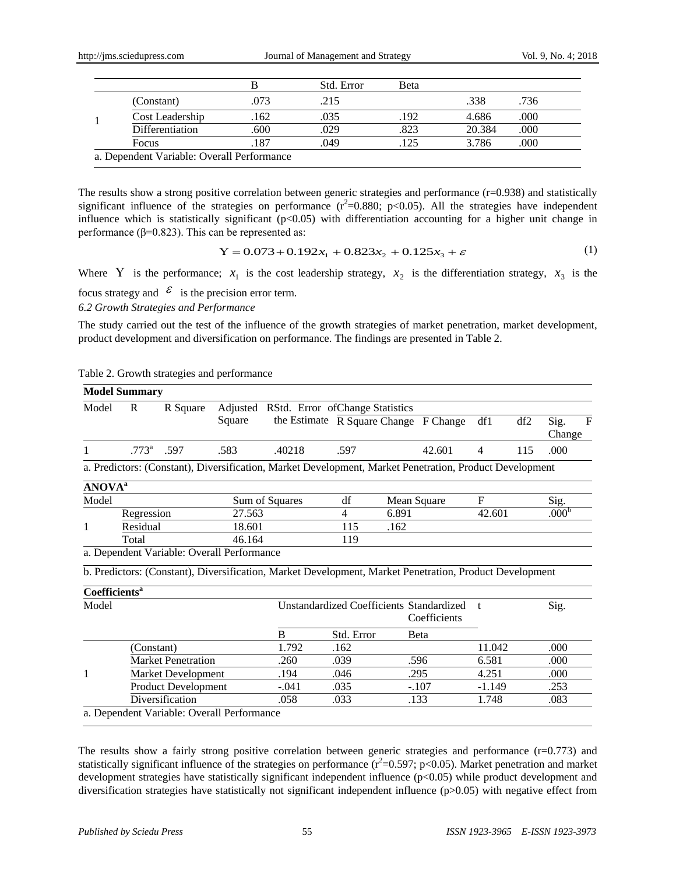|  |                                            |      | Std. Error | Beta |        |      |  |  |
|--|--------------------------------------------|------|------------|------|--------|------|--|--|
|  | (Constant)                                 | .073 | .215       |      | .338   | .736 |  |  |
|  | Cost Leadership                            | 162  | .035       | .192 | 4.686  | .000 |  |  |
|  | Differentiation                            | .600 | .029       | .823 | 20.384 | .000 |  |  |
|  | Focus                                      | .187 | .049       | 125  | 3.786  | .000 |  |  |
|  | a. Dependent Variable: Overall Performance |      |            |      |        |      |  |  |

The results show a strong positive correlation between generic strategies and performance (r=0.938) and statistically significant influence of the strategies on performance ( $r^2$ =0.880; p<0.05). All the strategies have independent influence which is statistically significant  $(p<0.05)$  with differentiation accounting for a higher unit change in performance ( $β=0.823$ ). This can be represented as:

$$
Y = 0.073 + 0.192x_1 + 0.823x_2 + 0.125x_3 + \varepsilon
$$
 (1)

Where Y is the performance;  $x_1$  is the cost leadership strategy,  $x_2$  is the differentiation strategy,  $x_3$  is the focus strategy and  $\mathcal{E}$  is the precision error term.

*6.2 Growth Strategies and Performance*

The study carried out the test of the influence of the growth strategies of market penetration, market development, product development and diversification on performance. The findings are presented in Table 2.

|  |  | Table 2. Growth strategies and performance |
|--|--|--------------------------------------------|
|--|--|--------------------------------------------|

|                           | <b>Model Summary</b> |                            |                                            |                                                                                                         |            |       |              |              |     |                               |
|---------------------------|----------------------|----------------------------|--------------------------------------------|---------------------------------------------------------------------------------------------------------|------------|-------|--------------|--------------|-----|-------------------------------|
| Model                     | R                    | R Square                   |                                            | Adjusted RStd. Error of Change Statistics                                                               |            |       |              |              |     |                               |
|                           |                      |                            | Square                                     | the Estimate R Square Change F Change                                                                   |            |       |              | df1          | df2 | Sig.<br>$\mathbf F$<br>Change |
| 1                         | $.773^{\rm a}$       | .597                       | .583                                       | .40218                                                                                                  | .597       |       | 42.601       | 4            | 115 | .000                          |
|                           |                      |                            |                                            | a. Predictors: (Constant), Diversification, Market Development, Market Penetration, Product Development |            |       |              |              |     |                               |
| <b>ANOVA</b> <sup>a</sup> |                      |                            |                                            |                                                                                                         |            |       |              |              |     |                               |
| Model                     |                      |                            |                                            | Sum of Squares                                                                                          | df         |       | Mean Square  | $\mathbf{F}$ |     | Sig.                          |
|                           | Regression           |                            | 27.563                                     |                                                                                                         | 4          | 6.891 |              | 42.601       |     | .000 <sup>b</sup>             |
| 1                         | Residual             |                            | 18.601                                     |                                                                                                         | 115        | .162  |              |              |     |                               |
|                           | Total<br>46.164      |                            |                                            |                                                                                                         | 119        |       |              |              |     |                               |
|                           |                      |                            | a. Dependent Variable: Overall Performance |                                                                                                         |            |       |              |              |     |                               |
|                           |                      |                            |                                            | b. Predictors: (Constant), Diversification, Market Development, Market Penetration, Product Development |            |       |              |              |     |                               |
| Coefficients <sup>a</sup> |                      |                            |                                            |                                                                                                         |            |       |              |              |     |                               |
| Model                     |                      |                            |                                            | Unstandardized Coefficients Standardized                                                                |            |       | Coefficients | $-t$         |     | Sig.                          |
|                           |                      |                            |                                            | B                                                                                                       | Std. Error |       | Beta         |              |     |                               |
|                           | (Constant)           |                            |                                            | 1.792                                                                                                   | .162       |       |              | 11.042       |     | .000                          |
|                           |                      | <b>Market Penetration</b>  |                                            | .260                                                                                                    | .039       |       | .596         | 6.581        |     | .000                          |
| 1                         |                      | <b>Market Development</b>  |                                            | .194                                                                                                    | .046       |       | .295         | 4.251        |     | .000                          |
|                           |                      | <b>Product Development</b> |                                            | $-.041$                                                                                                 | .035       |       | $-.107$      | $-1.149$     |     | .253                          |
|                           |                      | Diversification            |                                            | .058                                                                                                    | .033       |       | .133         | 1.748        |     | .083                          |
|                           |                      |                            | a. Dependent Variable: Overall Performance |                                                                                                         |            |       |              |              |     |                               |

The results show a fairly strong positive correlation between generic strategies and performance (r=0.773) and statistically significant influence of the strategies on performance ( $r^2$ =0.597; p<0.05). Market penetration and market development strategies have statistically significant independent influence (p<0.05) while product development and diversification strategies have statistically not significant independent influence  $(p>0.05)$  with negative effect from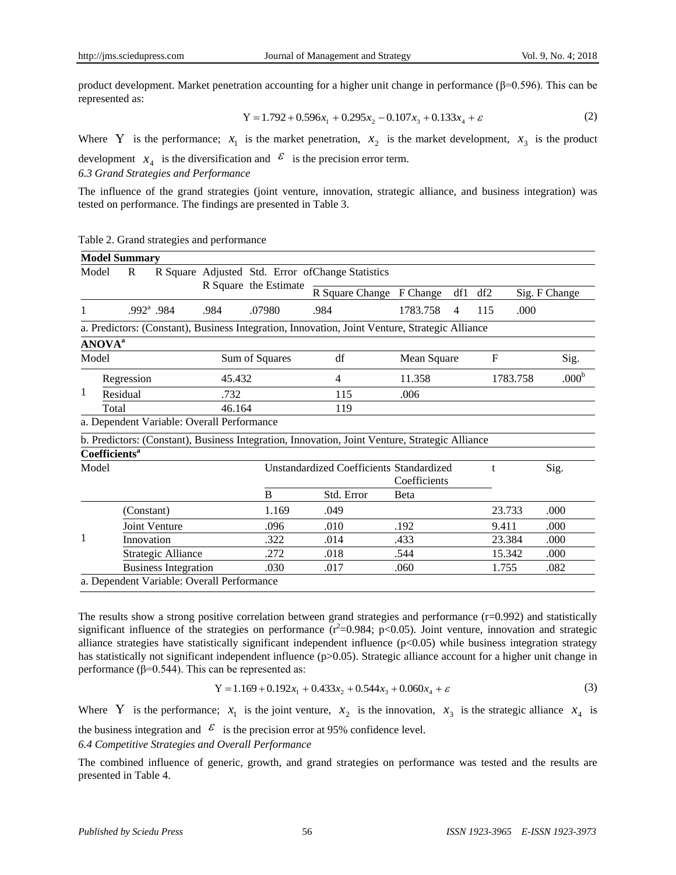product development. Market penetration accounting for a higher unit change in performance ( $\beta$ =0.596). This can be represented as:

$$
Y = 1.792 + 0.596x_1 + 0.295x_2 - 0.107x_3 + 0.133x_4 + \varepsilon
$$
 (2)

Where Y is the performance;  $x_1$  is the market penetration,  $x_2$  is the market development,  $x_3$  is the product

development  $x_4$  is the diversification and  $\epsilon$  is the precision error term. *6.3 Grand Strategies and Performance*

The influence of the grand strategies (joint venture, innovation, strategic alliance, and business integration) was tested on performance. The findings are presented in Table 3.

|                           | <b>Model Summary</b>      |            |                                     |                                            |                       |                                                                                                |             |                |              |          |                   |
|---------------------------|---------------------------|------------|-------------------------------------|--------------------------------------------|-----------------------|------------------------------------------------------------------------------------------------|-------------|----------------|--------------|----------|-------------------|
| Model                     | $\mathsf{R}$              |            |                                     |                                            |                       | R Square Adjusted Std. Error of Change Statistics                                              |             |                |              |          |                   |
|                           |                           |            |                                     |                                            | R Square the Estimate | R Square Change F Change                                                                       |             | df1            | df2          |          | Sig. F Change     |
|                           |                           |            | .992 $^{\rm a}$ .984                | .984                                       | .07980                | .984                                                                                           | 1783.758    | $\overline{4}$ | 115          | .000     |                   |
|                           |                           |            |                                     |                                            |                       | a. Predictors: (Constant), Business Integration, Innovation, Joint Venture, Strategic Alliance |             |                |              |          |                   |
| <b>ANOVA</b> <sup>a</sup> |                           |            |                                     |                                            |                       |                                                                                                |             |                |              |          |                   |
| Model                     |                           |            |                                     |                                            | Sum of Squares        | df                                                                                             | Mean Square |                | $\mathbf{F}$ |          | Sig.              |
|                           | Regression                |            |                                     | 45.432                                     |                       | $\overline{4}$                                                                                 | 11.358      |                |              | 1783.758 | .000 <sup>b</sup> |
| 1                         | Residual                  |            | .732                                |                                            | 115                   | .006                                                                                           |             |                |              |          |                   |
|                           | Total<br>46.164           |            |                                     |                                            | 119                   |                                                                                                |             |                |              |          |                   |
|                           |                           |            |                                     | a. Dependent Variable: Overall Performance |                       |                                                                                                |             |                |              |          |                   |
|                           |                           |            |                                     |                                            |                       | b. Predictors: (Constant), Business Integration, Innovation, Joint Venture, Strategic Alliance |             |                |              |          |                   |
|                           | Coefficients <sup>a</sup> |            |                                     |                                            |                       |                                                                                                |             |                |              |          |                   |
| Model                     |                           |            |                                     |                                            |                       | <b>Unstandardized Coefficients Standardized</b>                                                |             | Coefficients   |              |          | Sig.              |
|                           |                           |            |                                     |                                            | B                     | Std. Error                                                                                     | Beta        |                |              |          |                   |
|                           |                           | (Constant) |                                     |                                            | 1.169                 | .049                                                                                           |             |                |              | 23.733   | .000              |
|                           |                           |            | Joint Venture                       |                                            | .096                  | .010                                                                                           | .192        |                |              | 9.411    | .000              |
| 1                         |                           | Innovation |                                     |                                            | .322                  | .014                                                                                           | .433        |                |              | 23.384   | .000              |
|                           |                           |            | Strategic Alliance                  |                                            | .272                  | .018                                                                                           | .544        |                | 15.342       | .000     |                   |
|                           |                           |            | <b>Business Integration</b><br>.030 |                                            |                       | .017                                                                                           | .060        | 1.755          |              | .082     |                   |
|                           |                           |            |                                     | a. Dependent Variable: Overall Performance |                       |                                                                                                |             |                |              |          |                   |

Table 2. Grand strategies and performance

The results show a strong positive correlation between grand strategies and performance  $(r=0.992)$  and statistically significant influence of the strategies on performance  $(r^2=0.984; p<0.05)$ . Joint venture, innovation and strategic alliance strategies have statistically significant independent influence (p<0.05) while business integration strategy has statistically not significant independent influence (p>0.05). Strategic alliance account for a higher unit change in performance ( $β=0.544$ ). This can be represented as:

$$
Y = 1.169 + 0.192x_1 + 0.433x_2 + 0.544x_3 + 0.060x_4 + \varepsilon
$$
\n(3)

Where Y is the performance;  $x_1$  is the joint venture,  $x_2$  is the innovation,  $x_3$  is the strategic alliance  $x_4$  is the business integration and  $\epsilon$  is the precision error at 95% confidence level.

*6.4 Competitive Strategies and Overall Performance*

The combined influence of generic, growth, and grand strategies on performance was tested and the results are presented in Table 4.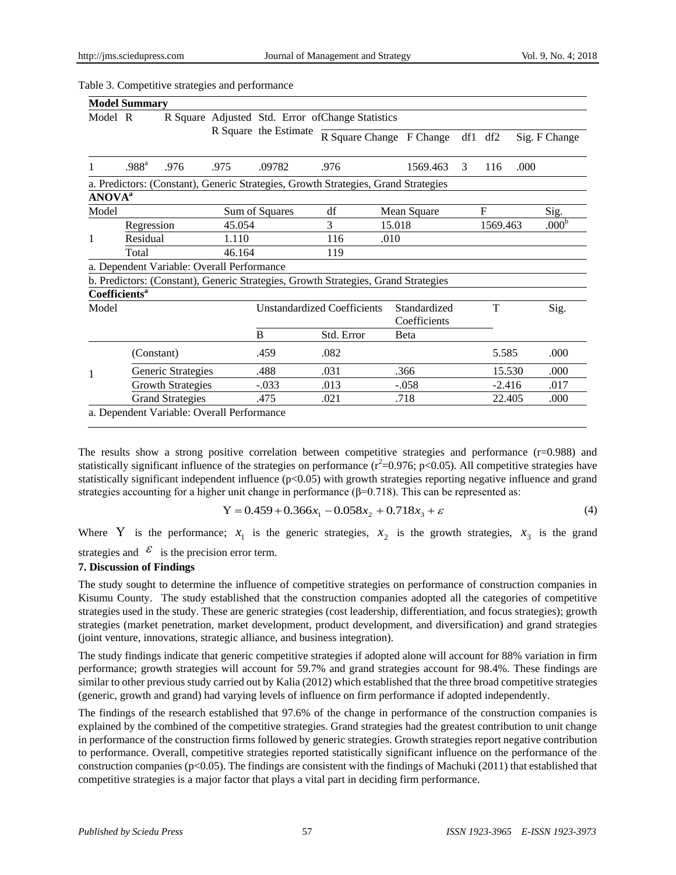|                           | <b>Model Summary</b> |                                            |        |                       |                                                                                    |              |   |          |        |                   |
|---------------------------|----------------------|--------------------------------------------|--------|-----------------------|------------------------------------------------------------------------------------|--------------|---|----------|--------|-------------------|
| Model R                   |                      |                                            |        |                       | R Square Adjusted Std. Error of Change Statistics                                  |              |   |          |        |                   |
|                           |                      |                                            |        | R Square the Estimate | R Square Change F Change                                                           |              |   | df1 df2  |        | Sig. F Change     |
| 1                         | $.988^{\rm a}$       | .976                                       | .975   | .09782                | .976                                                                               | 1569.463     | 3 | 116      | .000   |                   |
|                           |                      |                                            |        |                       | a. Predictors: (Constant), Generic Strategies, Growth Strategies, Grand Strategies |              |   |          |        |                   |
| <b>ANOVA</b> <sup>a</sup> |                      |                                            |        |                       |                                                                                    |              |   |          |        |                   |
| Model                     |                      |                                            |        | Sum of Squares        | df                                                                                 | Mean Square  |   | F        |        | Sig.              |
|                           |                      | Regression                                 |        | 45.054                | 3                                                                                  | 15.018       |   | 1569.463 |        | .000 <sup>b</sup> |
| 1                         | Residual             |                                            | 1.110  |                       | 116                                                                                | .010         |   |          |        |                   |
|                           | Total                |                                            | 46.164 |                       | 119                                                                                |              |   |          |        |                   |
|                           |                      | a. Dependent Variable: Overall Performance |        |                       |                                                                                    |              |   |          |        |                   |
|                           |                      |                                            |        |                       | b. Predictors: (Constant), Generic Strategies, Growth Strategies, Grand Strategies |              |   |          |        |                   |
| Coefficients <sup>a</sup> |                      |                                            |        |                       |                                                                                    |              |   |          |        |                   |
| Model                     |                      |                                            |        |                       | <b>Unstandardized Coefficients</b>                                                 | Standardized |   | T        |        | Sig.              |
|                           |                      |                                            |        |                       |                                                                                    | Coefficients |   |          |        |                   |
|                           |                      |                                            |        | <sub>B</sub>          | Std. Error                                                                         | Beta         |   |          |        |                   |
|                           | (Constant)           |                                            |        | .459                  | .082                                                                               |              |   | 5.585    |        | .000              |
| 1                         |                      | Generic Strategies                         |        | .488                  | .031                                                                               | .366         |   |          | 15.530 | .000              |
|                           |                      | <b>Growth Strategies</b>                   |        | $-.033$               | .013                                                                               | $-.058$      |   | $-2.416$ |        | .017              |
|                           |                      | <b>Grand Strategies</b>                    |        | .475                  | .021                                                                               | .718         |   | 22.405   |        | .000              |
|                           |                      | a. Dependent Variable: Overall Performance |        |                       |                                                                                    |              |   |          |        |                   |

#### Table 3. Competitive strategies and performance

The results show a strong positive correlation between competitive strategies and performance (r=0.988) and statistically significant influence of the strategies on performance ( $r^2$ =0.976; p<0.05). All competitive strategies have statistically significant independent influence (p<0.05) with growth strategies reporting negative influence and grand strategies accounting for a higher unit change in performance  $(\beta=0.718)$ . This can be represented as:

$$
Y = 0.459 + 0.366x_1 - 0.058x_2 + 0.718x_3 + \varepsilon
$$
\n<sup>(4)</sup>

Where Y is the performance;  $x_1$  is the generic strategies,  $x_2$  is the growth strategies,  $x_3$  is the grand strategies and  $\mathcal{E}$  is the precision error term.

## **7. Discussion of Findings**

The study sought to determine the influence of competitive strategies on performance of construction companies in Kisumu County. The study established that the construction companies adopted all the categories of competitive strategies used in the study. These are generic strategies (cost leadership, differentiation, and focus strategies); growth strategies (market penetration, market development, product development, and diversification) and grand strategies (joint venture, innovations, strategic alliance, and business integration).

The study findings indicate that generic competitive strategies if adopted alone will account for 88% variation in firm performance; growth strategies will account for 59.7% and grand strategies account for 98.4%. These findings are similar to other previous study carried out by Kalia (2012) which established that the three broad competitive strategies (generic, growth and grand) had varying levels of influence on firm performance if adopted independently.

The findings of the research established that 97.6% of the change in performance of the construction companies is explained by the combined of the competitive strategies. Grand strategies had the greatest contribution to unit change in performance of the construction firms followed by generic strategies. Growth strategies report negative contribution to performance. Overall, competitive strategies reported statistically significant influence on the performance of the construction companies (p<0.05). The findings are consistent with the findings of Machuki (2011) that established that competitive strategies is a major factor that plays a vital part in deciding firm performance.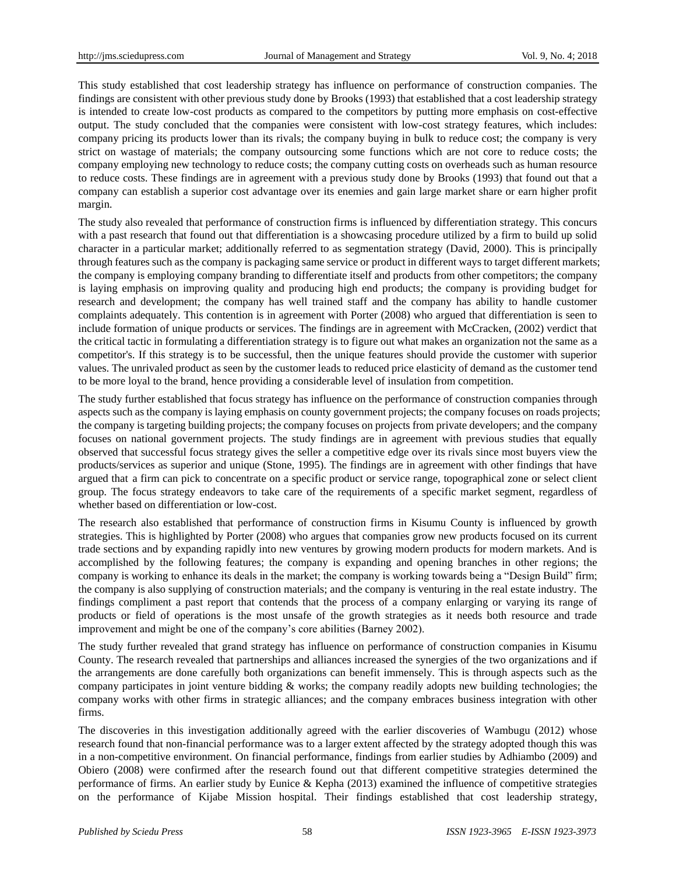This study established that cost leadership strategy has influence on performance of construction companies. The findings are consistent with other previous study done by Brooks (1993) that established that a cost leadership strategy is intended to create low-cost products as compared to the competitors by putting more emphasis on cost-effective output. The study concluded that the companies were consistent with low-cost strategy features, which includes: company pricing its products lower than its rivals; the company buying in bulk to reduce cost; the company is very strict on wastage of materials; the company outsourcing some functions which are not core to reduce costs; the company employing new technology to reduce costs; the company cutting costs on overheads such as human resource to reduce costs. These findings are in agreement with a previous study done by Brooks (1993) that found out that a company can establish a superior cost advantage over its enemies and gain large market share or earn higher profit margin.

The study also revealed that performance of construction firms is influenced by differentiation strategy. This concurs with a past research that found out that differentiation is a showcasing procedure utilized by a firm to build up solid character in a particular market; additionally referred to as segmentation strategy (David, 2000). This is principally through features such as the company is packaging same service or product in different ways to target different markets; the company is employing company branding to differentiate itself and products from other competitors; the company is laying emphasis on improving quality and producing high end products; the company is providing budget for research and development; the company has well trained staff and the company has ability to handle customer complaints adequately. This contention is in agreement with Porter (2008) who argued that differentiation is seen to include formation of unique products or services. The findings are in agreement with McCracken, (2002) verdict that the critical tactic in formulating a differentiation strategy is to figure out what makes an organization not the same as a competitor's. If this strategy is to be successful, then the unique features should provide the customer with superior values. The unrivaled product as seen by the customer leads to reduced price elasticity of demand as the customer tend to be more loyal to the brand, hence providing a considerable level of insulation from competition.

The study further established that focus strategy has influence on the performance of construction companies through aspects such as the company is laying emphasis on county government projects; the company focuses on roads projects; the company is targeting building projects; the company focuses on projects from private developers; and the company focuses on national government projects. The study findings are in agreement with previous studies that equally observed that successful focus strategy gives the seller a competitive edge over its rivals since most buyers view the products/services as superior and unique (Stone, 1995). The findings are in agreement with other findings that have argued that a firm can pick to concentrate on a specific product or service range, topographical zone or select client group. The focus strategy endeavors to take care of the requirements of a specific market segment, regardless of whether based on differentiation or low-cost.

The research also established that performance of construction firms in Kisumu County is influenced by growth strategies. This is highlighted by Porter (2008) who argues that companies grow new products focused on its current trade sections and by expanding rapidly into new ventures by growing modern products for modern markets. And is accomplished by the following features; the company is expanding and opening branches in other regions; the company is working to enhance its deals in the market; the company is working towards being a "Design Build" firm; the company is also supplying of construction materials; and the company is venturing in the real estate industry. The findings compliment a past report that contends that the process of a company enlarging or varying its range of products or field of operations is the most unsafe of the growth strategies as it needs both resource and trade improvement and might be one of the company's core abilities (Barney 2002).

The study further revealed that grand strategy has influence on performance of construction companies in Kisumu County. The research revealed that partnerships and alliances increased the synergies of the two organizations and if the arrangements are done carefully both organizations can benefit immensely. This is through aspects such as the company participates in joint venture bidding & works; the company readily adopts new building technologies; the company works with other firms in strategic alliances; and the company embraces business integration with other firms.

The discoveries in this investigation additionally agreed with the earlier discoveries of Wambugu (2012) whose research found that non-financial performance was to a larger extent affected by the strategy adopted though this was in a non-competitive environment. On financial performance, findings from earlier studies by Adhiambo (2009) and Obiero (2008) were confirmed after the research found out that different competitive strategies determined the performance of firms. An earlier study by Eunice & Kepha (2013) examined the influence of competitive strategies on the performance of Kijabe Mission hospital. Their findings established that cost leadership strategy,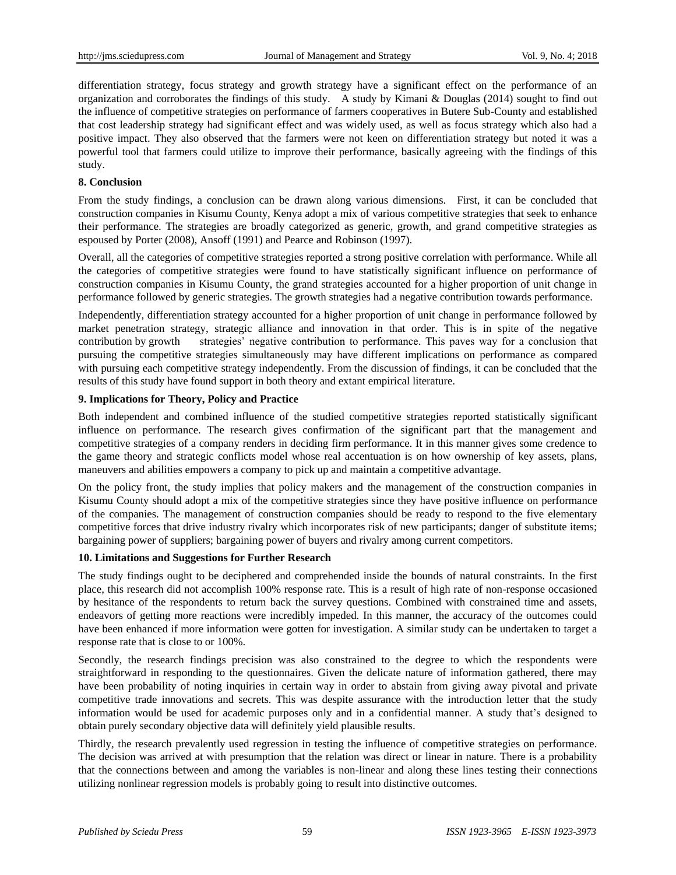differentiation strategy, focus strategy and growth strategy have a significant effect on the performance of an organization and corroborates the findings of this study. A study by Kimani & Douglas (2014) sought to find out the influence of competitive strategies on performance of farmers cooperatives in Butere Sub-County and established that cost leadership strategy had significant effect and was widely used, as well as focus strategy which also had a positive impact. They also observed that the farmers were not keen on differentiation strategy but noted it was a powerful tool that farmers could utilize to improve their performance, basically agreeing with the findings of this study.

## **8. Conclusion**

From the study findings, a conclusion can be drawn along various dimensions. First, it can be concluded that construction companies in Kisumu County, Kenya adopt a mix of various competitive strategies that seek to enhance their performance. The strategies are broadly categorized as generic, growth, and grand competitive strategies as espoused by Porter (2008), Ansoff (1991) and Pearce and Robinson (1997).

Overall, all the categories of competitive strategies reported a strong positive correlation with performance. While all the categories of competitive strategies were found to have statistically significant influence on performance of construction companies in Kisumu County, the grand strategies accounted for a higher proportion of unit change in performance followed by generic strategies. The growth strategies had a negative contribution towards performance.

Independently, differentiation strategy accounted for a higher proportion of unit change in performance followed by market penetration strategy, strategic alliance and innovation in that order. This is in spite of the negative contribution by growth strategies' negative contribution to performance. This paves way for a conclusion that pursuing the competitive strategies simultaneously may have different implications on performance as compared with pursuing each competitive strategy independently. From the discussion of findings, it can be concluded that the results of this study have found support in both theory and extant empirical literature.

## **9. Implications for Theory, Policy and Practice**

Both independent and combined influence of the studied competitive strategies reported statistically significant influence on performance. The research gives confirmation of the significant part that the management and competitive strategies of a company renders in deciding firm performance. It in this manner gives some credence to the game theory and strategic conflicts model whose real accentuation is on how ownership of key assets, plans, maneuvers and abilities empowers a company to pick up and maintain a competitive advantage.

On the policy front, the study implies that policy makers and the management of the construction companies in Kisumu County should adopt a mix of the competitive strategies since they have positive influence on performance of the companies. The management of construction companies should be ready to respond to the five elementary competitive forces that drive industry rivalry which incorporates risk of new participants; danger of substitute items; bargaining power of suppliers; bargaining power of buyers and rivalry among current competitors.

## **10. Limitations and Suggestions for Further Research**

The study findings ought to be deciphered and comprehended inside the bounds of natural constraints. In the first place, this research did not accomplish 100% response rate. This is a result of high rate of non-response occasioned by hesitance of the respondents to return back the survey questions. Combined with constrained time and assets, endeavors of getting more reactions were incredibly impeded. In this manner, the accuracy of the outcomes could have been enhanced if more information were gotten for investigation. A similar study can be undertaken to target a response rate that is close to or 100%.

Secondly, the research findings precision was also constrained to the degree to which the respondents were straightforward in responding to the questionnaires. Given the delicate nature of information gathered, there may have been probability of noting inquiries in certain way in order to abstain from giving away pivotal and private competitive trade innovations and secrets. This was despite assurance with the introduction letter that the study information would be used for academic purposes only and in a confidential manner. A study that's designed to obtain purely secondary objective data will definitely yield plausible results.

Thirdly, the research prevalently used regression in testing the influence of competitive strategies on performance. The decision was arrived at with presumption that the relation was direct or linear in nature. There is a probability that the connections between and among the variables is non-linear and along these lines testing their connections utilizing nonlinear regression models is probably going to result into distinctive outcomes.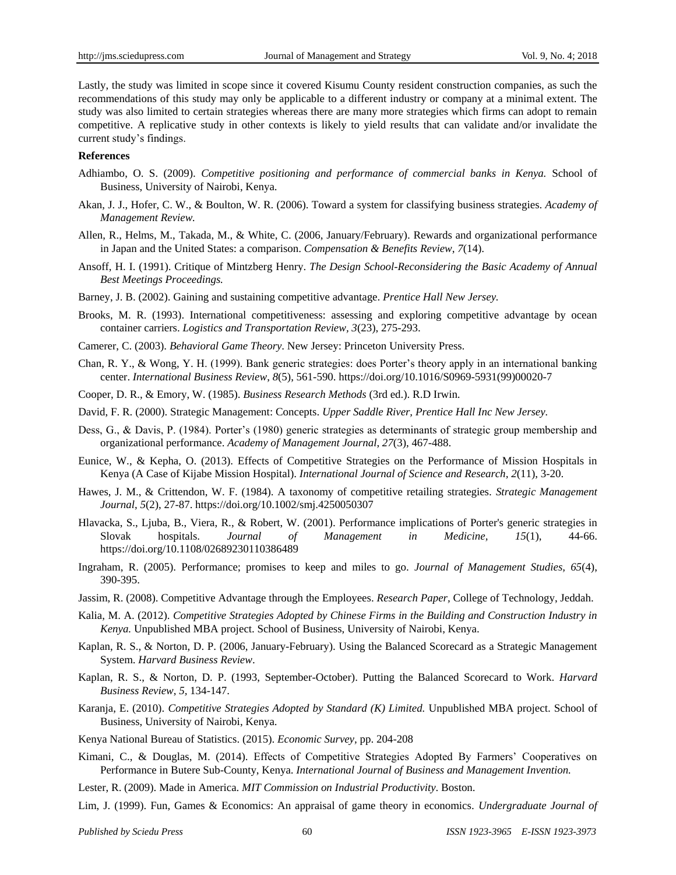Lastly, the study was limited in scope since it covered Kisumu County resident construction companies, as such the recommendations of this study may only be applicable to a different industry or company at a minimal extent. The study was also limited to certain strategies whereas there are many more strategies which firms can adopt to remain competitive. A replicative study in other contexts is likely to yield results that can validate and/or invalidate the current study's findings.

#### **References**

- Adhiambo, O. S. (2009). *Competitive positioning and performance of commercial banks in Kenya.* School of Business, University of Nairobi, Kenya.
- Akan, J. J., Hofer, C. W., & Boulton, W. R. (2006). Toward a system for classifying business strategies. *Academy of Management Review.*
- Allen, R., Helms, M., Takada, M., & White, C. (2006, January/February). Rewards and organizational performance in Japan and the United States: a comparison. *Compensation & Benefits Review*, *7*(14).
- Ansoff, H. I. (1991). Critique of Mintzberg Henry. *The Design School-Reconsidering the Basic Academy of Annual Best Meetings Proceedings.*
- Barney, J. B. (2002). Gaining and sustaining competitive advantage. *Prentice Hall New Jersey.*
- Brooks, M. R. (1993). International competitiveness: assessing and exploring competitive advantage by ocean container carriers. *Logistics and Transportation Review, 3*(23), 275-293.
- Camerer, C. (2003). *Behavioral Game Theory*. New Jersey: Princeton University Press.
- Chan, R. Y., & Wong, Y. H. (1999). Bank generic strategies: does Porter's theory apply in an international banking center. *International Business Review*, *8*(5), 561-590. https://doi.org/10.1016/S0969-5931(99)00020-7
- Cooper, D. R., & Emory, W. (1985). *Business Research Methods* (3rd ed.). R.D Irwin.
- David, F. R. (2000). Strategic Management: Concepts. *Upper Saddle River, Prentice Hall Inc New Jersey.*
- Dess, G., & Davis, P. (1984). Porter's (1980) generic strategies as determinants of strategic group membership and organizational performance. *Academy of Management Journal*, *27*(3), 467-488.
- Eunice, W., & Kepha, O. (2013). Effects of Competitive Strategies on the Performance of Mission Hospitals in Kenya (A Case of Kijabe Mission Hospital). *International Journal of Science and Research, 2*(11), 3-20.
- Hawes, J. M., & Crittendon, W. F. (1984). A taxonomy of competitive retailing strategies. *Strategic Management Journal*, *5*(2), 27-87. https://doi.org/10.1002/smj.4250050307
- Hlavacka, S., Ljuba, B., Viera, R., & Robert, W. (2001). Performance implications of Porter's generic strategies in Slovak hospitals. *Journal of Management in Medicine, 15*(1), 44-66. https://doi.org/10.1108/02689230110386489
- Ingraham, R. (2005). Performance; promises to keep and miles to go. *Journal of Management Studies, 65*(4), 390-395.
- Jassim, R. (2008). Competitive Advantage through the Employees. *Research Paper,* College of Technology, Jeddah.
- Kalia, M. A. (2012). *Competitive Strategies Adopted by Chinese Firms in the Building and Construction Industry in Kenya.* Unpublished MBA project. School of Business, University of Nairobi, Kenya.
- Kaplan, R. S., & Norton, D. P. (2006, January-February). Using the Balanced Scorecard as a Strategic Management System. *Harvard Business Review*.
- Kaplan, R. S., & Norton, D. P. (1993, September-October). Putting the Balanced Scorecard to Work. *Harvard Business Review*, *5,* 134-147.
- Karanja, E. (2010). *Competitive Strategies Adopted by Standard (K) Limited.* Unpublished MBA project. School of Business, University of Nairobi, Kenya.
- Kenya National Bureau of Statistics. (2015). *Economic Survey,* pp. 204-208
- Kimani, C., & Douglas, M. (2014). Effects of Competitive Strategies Adopted By Farmers' Cooperatives on Performance in Butere Sub-County, Kenya. *International Journal of Business and Management Invention.*
- Lester, R. (2009). Made in America. *MIT Commission on Industrial Productivity*. Boston.
- Lim, J. (1999). Fun, Games & Economics: An appraisal of game theory in economics. *Undergraduate Journal of*